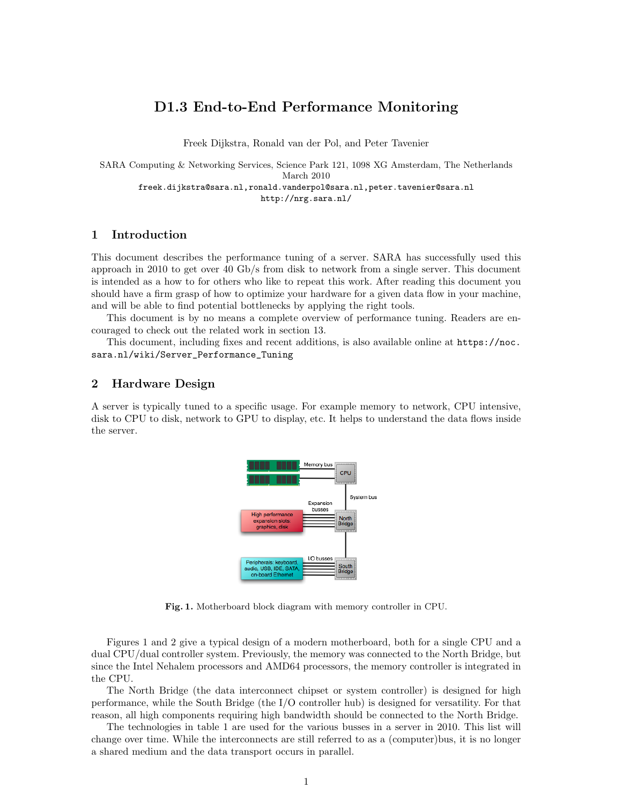# D1.3 End-to-End Performance Monitoring

Freek Dijkstra, Ronald van der Pol, and Peter Tavenier

SARA Computing & Networking Services, Science Park 121, 1098 XG Amsterdam, The Netherlands March 2010 freek.dijkstra@sara.nl,ronald.vanderpol@sara.nl,peter.tavenier@sara.nl <http://nrg.sara.nl/>

## 1 Introduction

This document describes the performance tuning of a server. SARA has successfully used this approach in 2010 to get over 40 Gb/s from disk to network from a single server. This document is intended as a how to for others who like to repeat this work. After reading this document you should have a firm grasp of how to optimize your hardware for a given data flow in your machine, and will be able to find potential bottlenecks by applying the right tools.

This document is by no means a complete overview of performance tuning. Readers are encouraged to check out the related work in section [13.](#page-12-0)

This document, including fixes and recent additions, is also available online at [https://noc.](https://noc.sara.nl/wiki/Server_Performance_Tuning) [sara.nl/wiki/Server\\_Performance\\_Tuning](https://noc.sara.nl/wiki/Server_Performance_Tuning)

## 2 Hardware Design

A server is typically tuned to a specific usage. For example memory to network, CPU intensive, disk to CPU to disk, network to GPU to display, etc. It helps to understand the data flows inside the server.



<span id="page-0-0"></span>Fig. 1. Motherboard block diagram with memory controller in CPU.

Figures [1](#page-0-0) and [2](#page-1-0) give a typical design of a modern motherboard, both for a single CPU and a dual CPU/dual controller system. Previously, the memory was connected to the North Bridge, but since the Intel Nehalem processors and AMD64 processors, the memory controller is integrated in the CPU.

The North Bridge (the data interconnect chipset or system controller) is designed for high performance, while the South Bridge (the I/O controller hub) is designed for versatility. For that reason, all high components requiring high bandwidth should be connected to the North Bridge.

The technologies in table [1](#page-1-1) are used for the various busses in a server in 2010. This list will change over time. While the interconnects are still referred to as a (computer)bus, it is no longer a shared medium and the data transport occurs in parallel.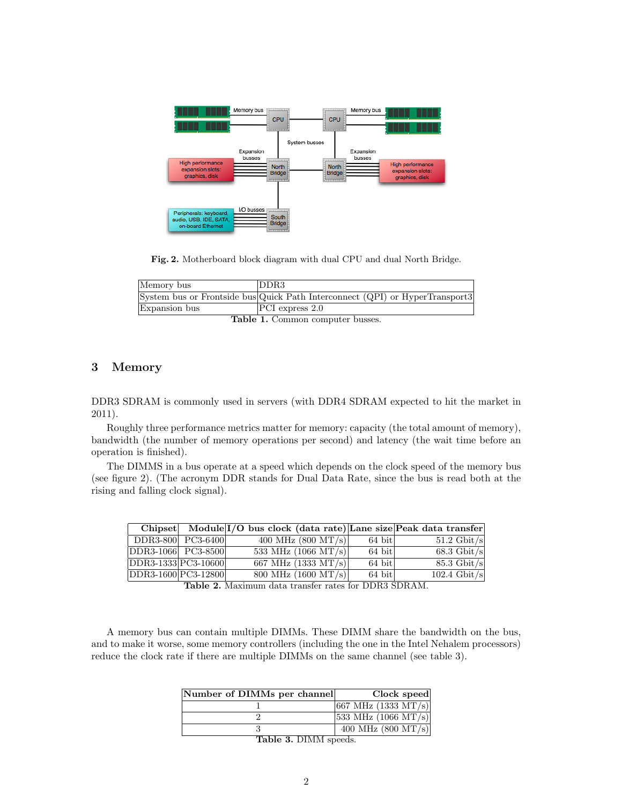

<span id="page-1-0"></span>Fig. 2. Motherboard block diagram with dual CPU and dual North Bridge.

| Memory bus    | <sup>I</sup> DDR3                                                            |
|---------------|------------------------------------------------------------------------------|
|               | System bus or Frontside bus Quick Path Interconnect (QPI) or HyperTransport3 |
| Expansion bus | $PCI$ express 2.0                                                            |
|               | $\blacksquare$                                                               |

<span id="page-1-1"></span>Table 1. Common computer busses.

## 3 Memory

DDR3 SDRAM is commonly used in servers (with DDR4 SDRAM expected to hit the market in 2011).

Roughly three performance metrics matter for memory: capacity (the total amount of memory), bandwidth (the number of memory operations per second) and latency (the wait time before an operation is finished).

The DIMMS in a bus operate at a speed which depends on the clock speed of the memory bus (see figure [2\)](#page-1-2). (The acronym DDR stands for Dual Data Rate, since the bus is read both at the rising and falling clock signal).

|                     |  | Chipset Module $I/O$ bus clock (data rate) Lane size Peak data transfer |        |                       |
|---------------------|--|-------------------------------------------------------------------------|--------|-----------------------|
| DDR3-800 PC3-6400   |  | 400 MHz $(800 \text{ MT/s})$                                            | 64 bit | $51.2 \text{ Gbit/s}$ |
| DDR3-1066 PC3-8500  |  | 533 MHz $(1066 \text{ MT/s})$                                           | 64 bit | $68.3 \text{ Gbit/s}$ |
| DDR3-1333 PC3-10600 |  | 667 MHz $(1333 \text{ MT/s})$                                           | 64 bit | $85.3 \text{ Gbit/s}$ |
| DDR3-1600 PC3-12800 |  | 800 MHz $(1600 \text{ MT/s})$                                           | 64 bit | 102.4 Gbit/s          |
|                     |  | Table 2 Movimum data transfer rates for DDR3 SDRAM                      |        |                       |

<span id="page-1-2"></span>Table 2. Maximum data transfer rates for DDR3 SDRAM.

A memory bus can contain multiple DIMMs. These DIMM share the bandwidth on the bus, and to make it worse, some memory controllers (including the one in the Intel Nehalem processors) reduce the clock rate if there are multiple DIMMs on the same channel (see table [3\)](#page-1-3).

| Number of DIMMs per channel                                                                                                                                                                                                                                                                                                                                                                        | Clock speed                             |
|----------------------------------------------------------------------------------------------------------------------------------------------------------------------------------------------------------------------------------------------------------------------------------------------------------------------------------------------------------------------------------------------------|-----------------------------------------|
|                                                                                                                                                                                                                                                                                                                                                                                                    | $ 667 \text{ MHz} (1333 \text{ MT/s}) $ |
|                                                                                                                                                                                                                                                                                                                                                                                                    | $ 533 \text{ MHz} (1066 \text{ MT/s}) $ |
|                                                                                                                                                                                                                                                                                                                                                                                                    | 400 MHz $(800 \text{ MT/s})$            |
| $\mathbf{L}_{\mathbf{a}}$ $\mathbf{L}_{\mathbf{a}}$ $\mathbf{L}_{\mathbf{a}}$ $\mathbf{L}_{\mathbf{a}}$ $\mathbf{L}_{\mathbf{a}}$ $\mathbf{L}_{\mathbf{a}}$ $\mathbf{L}_{\mathbf{a}}$ $\mathbf{L}_{\mathbf{a}}$ $\mathbf{L}_{\mathbf{a}}$ $\mathbf{L}_{\mathbf{a}}$ $\mathbf{L}_{\mathbf{a}}$ $\mathbf{L}_{\mathbf{a}}$ $\mathbf{L}_{\mathbf{a}}$ $\mathbf{L}_{\mathbf{a}}$ $\mathbf{L}_{\mathbf{$ |                                         |

<span id="page-1-3"></span>Table 3. DIMM speeds.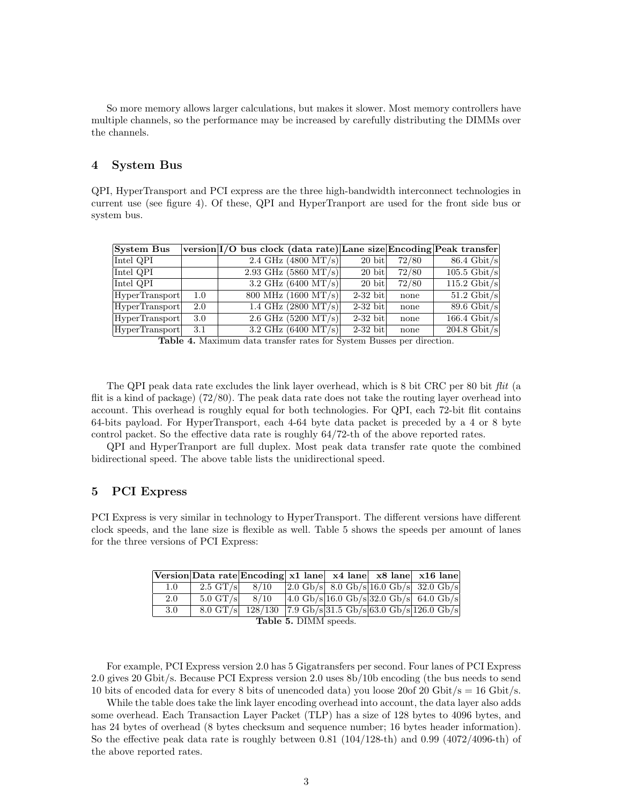So more memory allows larger calculations, but makes it slower. Most memory controllers have multiple channels, so the performance may be increased by carefully distributing the DIMMs over the channels.

## 4 System Bus

QPI, HyperTransport and PCI express are the three high-bandwidth interconnect technologies in current use (see figure [4\)](#page-2-0). Of these, QPI and HyperTranport are used for the front side bus or system bus.

| <b>System Bus</b> |     | version I/O bus clock (data rate) Lane size Encoding Peak transfer |                                             |            |       |                           |
|-------------------|-----|--------------------------------------------------------------------|---------------------------------------------|------------|-------|---------------------------|
| Intel QPI         |     |                                                                    | $2.4 \text{ GHz} (4800 \text{ MT/s})$       | 20 bit     | 72/80 | $86.4 \text{ Gbit/s}$     |
| Intel QPI         |     |                                                                    | 2.93 GHz $(5860 \text{ MT/s})$              | $20$ bit   | 72/80 | $105.5$ Gbit/s            |
| Intel QPI         |     |                                                                    | $3.2 \text{ GHz} (6400 \text{ MT/s})$       | 20 bit     | 72/80 | $115.2$ Gbit/s            |
| HyperTransport    | 1.0 |                                                                    | $\frac{800 \text{ MHz}}{1600 \text{ MT/s}}$ | $2-32$ bit | none  | $51.2 \text{ Gbit/s}$     |
| HyperTransport    | 2.0 |                                                                    | 1.4 GHz $(2800 \text{ MT/s})$               | $2-32$ bit | none  | $89.6$ Gbit/s             |
| HyperTransport    | 3.0 |                                                                    | $2.6$ GHz (5200 MT/s)                       | $2-32$ bit | none  | $166.4$ Gbit/s            |
| HyperTransport    | 3.1 |                                                                    | 3.2 GHz $(6400 \text{ MT/s})$               | $2-32$ bit | none  | $\overline{204.8}$ Gbit/s |

<span id="page-2-0"></span>Table 4. Maximum data transfer rates for System Busses per direction.

The QPI peak data rate excludes the link layer overhead, which is 8 bit CRC per 80 bit flit (a flit is a kind of package) (72/80). The peak data rate does not take the routing layer overhead into account. This overhead is roughly equal for both technologies. For QPI, each 72-bit flit contains 64-bits payload. For HyperTransport, each 4-64 byte data packet is preceded by a 4 or 8 byte control packet. So the effective data rate is roughly 64/72-th of the above reported rates.

QPI and HyperTranport are full duplex. Most peak data transfer rate quote the combined bidirectional speed. The above table lists the unidirectional speed.

## 5 PCI Express

PCI Express is very similar in technology to HyperTransport. The different versions have different clock speeds, and the lane size is flexible as well. Table [5](#page-2-1) shows the speeds per amount of lanes for the three versions of PCI Express:

<span id="page-2-1"></span>

|                       | Version Data rate Encoding $x1$ lane $x4$ lane $x8$ lane $x16$ lane |                                                          |  |  |  |  |  |                                                                             |  |
|-----------------------|---------------------------------------------------------------------|----------------------------------------------------------|--|--|--|--|--|-----------------------------------------------------------------------------|--|
| 1.0                   | 2.5 GT/s $8/10$                                                     |                                                          |  |  |  |  |  | $ 2.0 \text{ Gb/s}  8.0 \text{ Gb/s}  16.0 \text{ Gb/s}  32.0 \text{ Gb/s}$ |  |
| 2.0                   | $5.0 \text{ GT/s}$ $8/10$                                           |                                                          |  |  |  |  |  | $4.0 \text{Gb/s} 16.0 \text{Gb/s} 32.0 \text{Gb/s} 64.0 \text{Gb/s}$        |  |
| 3.0                   |                                                                     | 8.0 GT/s 128/130 7.9 Gb/s 31.5 Gb/s 63.0 Gb/s 126.0 Gb/s |  |  |  |  |  |                                                                             |  |
| Table 5. DIMM speeds. |                                                                     |                                                          |  |  |  |  |  |                                                                             |  |

For example, PCI Express version 2.0 has 5 Gigatransfers per second. Four lanes of PCI Express 2.0 gives 20 Gbit/s. Because PCI Express version 2.0 uses 8b/10b encoding (the bus needs to send 10 bits of encoded data for every 8 bits of unencoded data) you loose 20of 20 Gbit/s = 16 Gbit/s.

While the table does take the link layer encoding overhead into account, the data layer also adds some overhead. Each Transaction Layer Packet (TLP) has a size of 128 bytes to 4096 bytes, and has 24 bytes of overhead (8 bytes checksum and sequence number; 16 bytes header information). So the effective peak data rate is roughly between 0.81  $(104/128$ -th) and 0.99  $(4072/4096$ -th) of the above reported rates.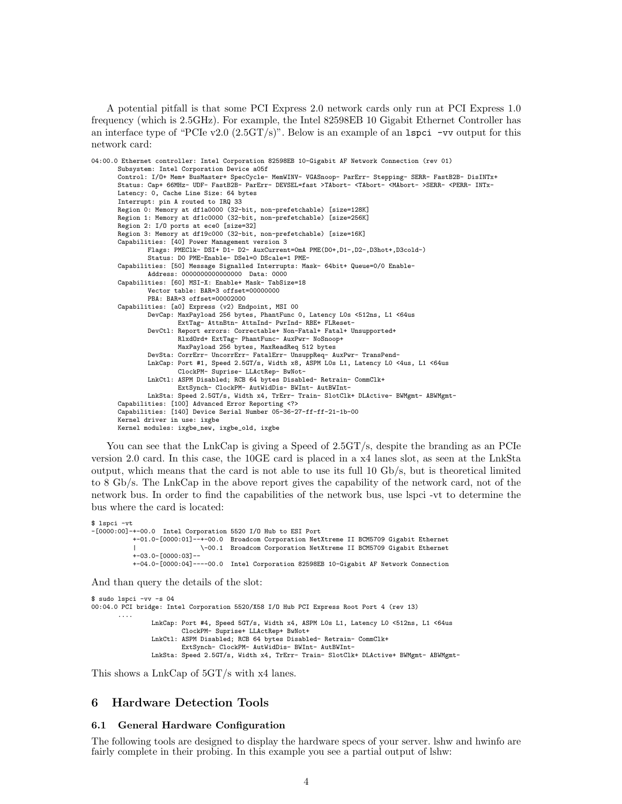A potential pitfall is that some PCI Express 2.0 network cards only run at PCI Express 1.0 frequency (which is 2.5GHz). For example, the Intel 82598EB 10 Gigabit Ethernet Controller has an interface type of "PCIe v2.0  $(2.5GT/s)$ ". Below is an example of an  $lspci$  -vv output for this network card:

```
04:00.0 Ethernet controller: Intel Corporation 82598EB 10-Gigabit AF Network Connection (rev 01)
      Subsystem: Intel Corporation Device a05f
      Control: I/O+ Mem+ BusMaster+ SpecCycle- MemWINV- VGASnoop- ParErr- Stepping- SERR- FastB2B- DisINTx+
      Status: Cap+ 66MHz- UDF- FastB2B- ParErr- DEVSEL=fast >TAbort- <TAbort- <MAbort- >SERR- <PERR- INTx-
      Latency: 0, Cache Line Size: 64 bytes
      Interrupt: pin A routed to IRQ 33
      Region 0: Memory at df1a0000 (32-bit, non-prefetchable) [size=128K]
      Region 1: Memory at df1c0000 (32-bit, non-prefetchable) [size=256K]
      Region 2: I/O ports at ece0 [size=32]
      Region 3: Memory at df19c000 (32-bit, non-prefetchable) [size=16K]
      Capabilities: [40] Power Management version 3
              Flags: PMEClk- DSI+ D1- D2- AuxCurrent=0mA PME(D0+,D1-,D2-,D3hot+,D3cold-)
              Status: D0 PME-Enable- DSel=0 DScale=1 PME-
      Capabilities: [50] Message Signalled Interrupts: Mask- 64bit+ Queue=0/0 Enable-
              Address: 0000000000000000 Data: 0000
      Capabilities: [60] MSI-X: Enable+ Mask- TabSize=18
              Vector table: BAR=3 offset=00000000
              PBA: BAR=3 offset=00002000
      Capabilities: [a0] Express (v2) Endpoint, MSI 00
              DevCap: MaxPayload 256 bytes, PhantFunc 0, Latency L0s <512ns, L1 <64us
                      ExtTag- AttnBtn- AttnInd- PwrInd- RBE+ FLReset-
              DevCtl: Report errors: Correctable+ Non-Fatal+ Fatal+ Unsupported+
                      RlxdOrd+ ExtTag- PhantFunc- AuxPwr- NoSnoop+
                      MaxPayload 256 bytes, MaxReadReq 512 bytes
              DevSta: CorrErr- UncorrErr- FatalErr- UnsuppReq- AuxPwr- TransPend-
              LnkCap: Port #1, Speed 2.5GT/s, Width x8, ASPM L0s L1, Latency L0 <4us, L1 <64us
                      ClockPM- Suprise- LLActRep- BwNot-
              LnkCtl: ASPM Disabled; RCB 64 bytes Disabled- Retrain- CommClk+
                      ExtSynch- ClockPM- AutWidDis- BWInt- AutBWInt-
              LnkSta: Speed 2.5GT/s, Width x4, TrErr- Train- SlotClk+ DLActive- BWMgmt- ABWMgmt-
      Capabilities: [100] Advanced Error Reporting <?>
      Capabilities: [140] Device Serial Number 05-36-27-ff-ff-21-1b-00
       Kernel driver in use: ixgbe
      Kernel modules: ixgbe_new, ixgbe_old, ixgbe
```
You can see that the LnkCap is giving a Speed of 2.5GT/s, despite the branding as an PCIe version 2.0 card. In this case, the 10GE card is placed in a x4 lanes slot, as seen at the LnkSta output, which means that the card is not able to use its full 10 Gb/s, but is theoretical limited to 8 Gb/s. The LnkCap in the above report gives the capability of the network card, not of the network bus. In order to find the capabilities of the network bus, use lspci -vt to determine the bus where the card is located:

```
$ lspci -vt
-[0000:00]-+-00.0 Intel Corporation 5520 I/O Hub to ESI Port
           +-01.0-[0000:01]--+-00.0 Broadcom Corporation NetXtreme II BCM5709 Gigabit Ethernet
                            | \-00.1 Broadcom Corporation NetXtreme II BCM5709 Gigabit Ethernet
           +-03.0-[0000:03]--
          +-04.0-[0000:04]----00.0 Intel Corporation 82598EB 10-Gigabit AF Network Connection
```
And than query the details of the slot:

```
$ sudo lspci -vv -s 04
00:04.0 PCI bridge: Intel Corporation 5520/X58 I/O Hub PCI Express Root Port 4 (rev 13)
       ....
                LnkCap: Port #4, Speed 5GT/s, Width x4, ASPM L0s L1, Latency L0 <512ns, L1 <64us
                       ClockPM- Suprise+ LLActRep+ BwNot+
                LnkCtl: ASPM Disabled; RCB 64 bytes Disabled- Retrain- CommClk+
                       ExtSynch- ClockPM- AutWidDis- BWInt- AutBWInt-
                LnkSta: Speed 2.5GT/s, Width x4, TrErr- Train- SlotClk+ DLActive+ BWMgmt- ABWMgmt-
```
This shows a LnkCap of 5GT/s with x4 lanes.

### 6 Hardware Detection Tools

#### 6.1 General Hardware Configuration

The following tools are designed to display the hardware specs of your server. lshw and hwinfo are fairly complete in their probing. In this example you see a partial output of lshw: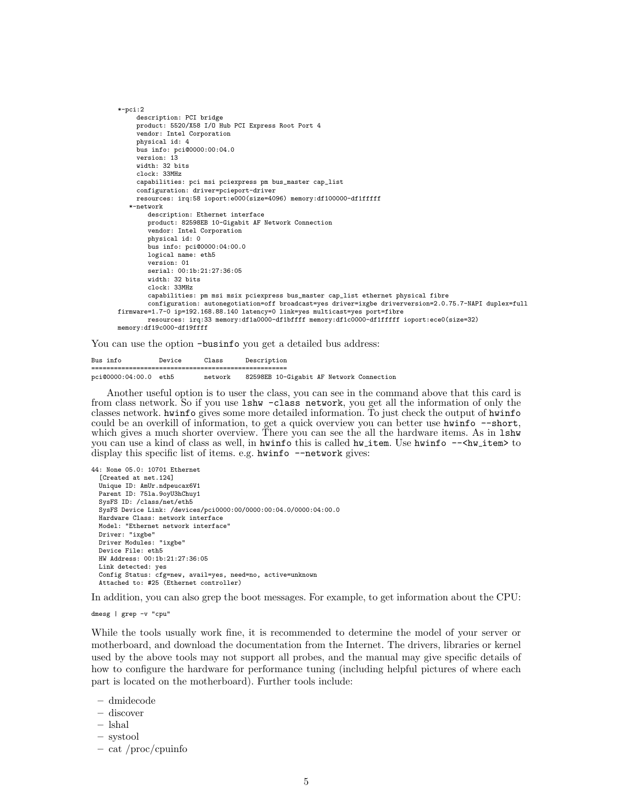```
*-pci:2
    description: PCI bridge
    product: 5520/X58 I/O Hub PCI Express Root Port 4
     vendor: Intel Corporation
    physical id: 4
     bus info: pci@0000:00:04.0
     version: 13
     width: 32 bits
     clock: 33MHz
     capabilities: pci msi pciexpress pm bus_master cap_list
     configuration: driver=pcieport-driver
     resources: irq:58 ioport:e000(size=4096) memory:df100000-df1fffff
   *-network
       description: Ethernet interface
       product: 82598EB 10-Gigabit AF Network Connection
        vendor: Intel Corporation
        physical id: 0
        bus info: pci@0000:04:00.0
        logical name: eth5
        version: 01
        serial: 00:1b:21:27:36:05
        width: 32 bits
        clock: 33MHz
        capabilities: pm msi msix pciexpress bus_master cap_list ethernet physical fibre
        configuration: autonegotiation=off broadcast=yes driver=ixgbe driverversion=2.0.75.7-NAPI duplex=full
firmware=1.7-0 ip=192.168.88.140 latency=0 link=yes multicast=yes port=fibre
        resources: irq:33 memory:df1a0000-df1bffff memory:df1c0000-df1fffff ioport:ece0(size=32)
memory:df19c000-df19ffff
```
You can use the option -businfo you get a detailed bus address:

Bus info Device Class Description ==================================================== pci@0000:04:00.0 eth5 network 82598EB 10-Gigabit AF Network Connection

Another useful option is to user the class, you can see in the command above that this card is from class network. So if you use lshw -class network, you get all the information of only the classes network. hwinfo gives some more detailed information. To just check the output of hwinfo could be an overkill of information, to get a quick overview you can better use hwinfo --short, which gives a much shorter overview. There you can see the all the hardware items. As in  $1$ shw you can use a kind of class as well, in hwinfo this is called hw\_item. Use hwinfo --<hw\_item> to display this specific list of items. e.g. hwinfo --network gives:

```
44: None 05.0: 10701 Ethernet
  [Created at net.124]
 Unique ID: AmUr.ndpeucax6V1
 Parent ID: 75la.9oyU3hChuy1
 SysFS ID: /class/net/eth5
 SysFS Device Link: /devices/pci0000:00/0000:00:04.0/0000:04:00.0
 Hardware Class: network interface
 Model: "Ethernet network interface"
 Driver: "ixgbe"
 Driver Modules: "ixgbe"
 Device File: eth5
 HW Address: 00:1b:21:27:36:05
 Link detected: yes
 Config Status: cfg=new, avail=yes, need=no, active=unknown
 Attached to: #25 (Ethernet controller)
```
In addition, you can also grep the boot messages. For example, to get information about the CPU:

dmesg | grep -v "cpu"

While the tools usually work fine, it is recommended to determine the model of your server or motherboard, and download the documentation from the Internet. The drivers, libraries or kernel used by the above tools may not support all probes, and the manual may give specific details of how to configure the hardware for performance tuning (including helpful pictures of where each part is located on the motherboard). Further tools include:

- dmidecode
- discover
- lshal
- systool
- cat /proc/cpuinfo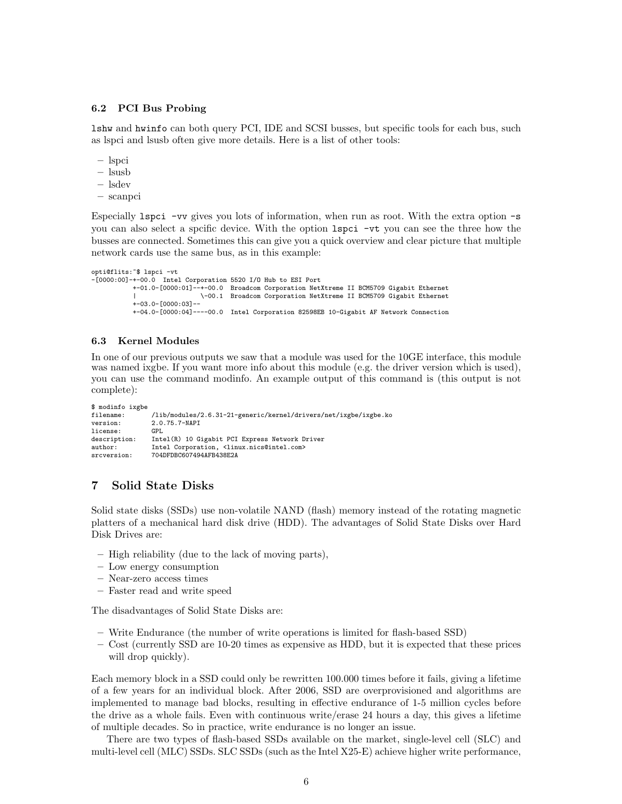#### 6.2 PCI Bus Probing

lshw and hwinfo can both query PCI, IDE and SCSI busses, but specific tools for each bus, such as lspci and lsusb often give more details. Here is a list of other tools:

- lspci
- lsusb
- lsdev
- scanpci

Especially lspci -vv gives you lots of information, when run as root. With the extra option -s you can also select a spcific device. With the option lspci -vt you can see the three how the busses are connected. Sometimes this can give you a quick overview and clear picture that multiple network cards use the same bus, as in this example:

```
opti@flits:~$ lspci -vt
-[0000:00]-+-00.0 Intel Corporation 5520 I/O Hub to ESI Port
          +-01.0-[0000:01]--+-00.0 Broadcom Corporation NetXtreme II BCM5709 Gigabit Ethernet
                            | \-00.1 Broadcom Corporation NetXtreme II BCM5709 Gigabit Ethernet
           +-03.0-[0000:03]--
           +-04.0-[0000:04]----00.0 Intel Corporation 82598EB 10-Gigabit AF Network Connection
```
#### 6.3 Kernel Modules

In one of our previous outputs we saw that a module was used for the 10GE interface, this module was named ixgbe. If you want more info about this module (e.g. the driver version which is used), you can use the command modinfo. An example output of this command is (this output is not complete):

```
$ modinfo ixgbe
filename: /lib/modules/2.6.31-21-generic/kernel/drivers/net/ixgbe/ixgbe.ko
                   2.0.75.7-NAPI<br>GPL
license:<br>description:
description: Intel(R) 10 Gigabit PCI Express Network Driver<br>author: Intel Corporation, <linux.nics@intel.com>
                   Intel Corporation, <linux.nics@intel.com>
srcversion: 704DFDBC607494AFB438E2A
```
## 7 Solid State Disks

Solid state disks (SSDs) use non-volatile NAND (flash) memory instead of the rotating magnetic platters of a mechanical hard disk drive (HDD). The advantages of Solid State Disks over Hard Disk Drives are:

- High reliability (due to the lack of moving parts),
- Low energy consumption
- Near-zero access times
- Faster read and write speed

The disadvantages of Solid State Disks are:

- Write Endurance (the number of write operations is limited for flash-based SSD)
- Cost (currently SSD are 10-20 times as expensive as HDD, but it is expected that these prices will drop quickly).

Each memory block in a SSD could only be rewritten 100.000 times before it fails, giving a lifetime of a few years for an individual block. After 2006, SSD are overprovisioned and algorithms are implemented to manage bad blocks, resulting in effective endurance of 1-5 million cycles before the drive as a whole fails. Even with continuous write/erase 24 hours a day, this gives a lifetime of multiple decades. So in practice, write endurance is no longer an issue.

There are two types of flash-based SSDs available on the market, single-level cell (SLC) and multi-level cell (MLC) SSDs. SLC SSDs (such as the Intel X25-E) achieve higher write performance,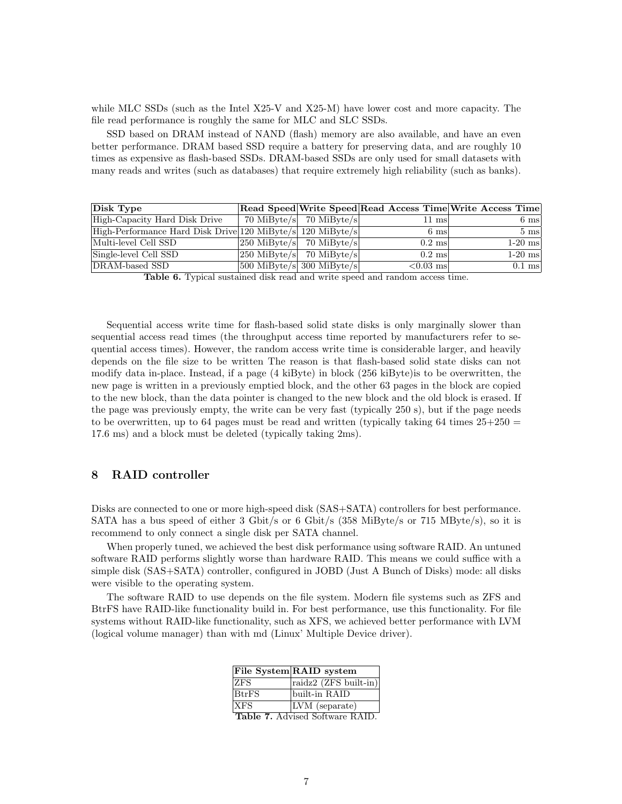while MLC SSDs (such as the Intel X25-V and X25-M) have lower cost and more capacity. The file read performance is roughly the same for MLC and SLC SSDs.

SSD based on DRAM instead of NAND (flash) memory are also available, and have an even better performance. DRAM based SSD require a battery for preserving data, and are roughly 10 times as expensive as flash-based SSDs. DRAM-based SSDs are only used for small datasets with many reads and writes (such as databases) that require extremely high reliability (such as banks).

| Disk Type                                                  |                                       |                  | Read Speed Write Speed Read Access Time Write Access Time |
|------------------------------------------------------------|---------------------------------------|------------------|-----------------------------------------------------------|
| High-Capacity Hard Disk Drive                              | 70 MiByte/s 70 MiByte/s               | $11 \text{ ms}$  | $6 \text{ ms}$                                            |
| High-Performance Hard Disk Drive 120 MiByte/s 120 MiByte/s |                                       | 6 msl            | $5 \text{ ms}$                                            |
| Multi-level Cell SSD                                       | $ 250 \text{ MiByte/s} $ 70 MiByte/s  | $0.2 \text{ ms}$ | $1-20$ ms                                                 |
| Single-level Cell SSD                                      | $ 250 \text{ MiByte/s} $ 70 MiByte/s  | $0.2 \text{ ms}$ | $1-20$ ms                                                 |
| DRAM-based SSD                                             | $ 500 \text{ MiByte/s} $ 300 MiByte/s | $< 0.03$ ms      | $0.1$ ms                                                  |

|  |  |  |  |  |  | <b>Table 6.</b> Typical sustained disk read and write speed and random access time. |  |  |  |  |
|--|--|--|--|--|--|-------------------------------------------------------------------------------------|--|--|--|--|
|--|--|--|--|--|--|-------------------------------------------------------------------------------------|--|--|--|--|

Sequential access write time for flash-based solid state disks is only marginally slower than sequential access read times (the throughput access time reported by manufacturers refer to sequential access times). However, the random access write time is considerable larger, and heavily depends on the file size to be written The reason is that flash-based solid state disks can not modify data in-place. Instead, if a page (4 kiByte) in block (256 kiByte)is to be overwritten, the new page is written in a previously emptied block, and the other 63 pages in the block are copied to the new block, than the data pointer is changed to the new block and the old block is erased. If the page was previously empty, the write can be very fast (typically 250 s), but if the page needs to be overwritten, up to 64 pages must be read and written (typically taking 64 times  $25+250 =$ 17.6 ms) and a block must be deleted (typically taking 2ms).

## 8 RAID controller

Disks are connected to one or more high-speed disk (SAS+SATA) controllers for best performance. SATA has a bus speed of either 3 Gbit/s or 6 Gbit/s (358 MiByte/s or 715 MByte/s), so it is recommend to only connect a single disk per SATA channel.

When properly tuned, we achieved the best disk performance using software RAID. An untuned software RAID performs slightly worse than hardware RAID. This means we could suffice with a simple disk (SAS+SATA) controller, configured in JOBD (Just A Bunch of Disks) mode: all disks were visible to the operating system.

The software RAID to use depends on the file system. Modern file systems such as ZFS and BtrFS have RAID-like functionality build in. For best performance, use this functionality. For file systems without RAID-like functionality, such as XFS, we achieved better performance with LVM (logical volume manager) than with md (Linux' Multiple Device driver).

|              | File System RAID system                |
|--------------|----------------------------------------|
| <b>ZFS</b>   | raidz2 (ZFS built-in)                  |
| <b>BtrFS</b> | built-in RAID                          |
| <b>XFS</b>   | LVM (separate)                         |
|              | <b>Table 7.</b> Advised Software RAID. |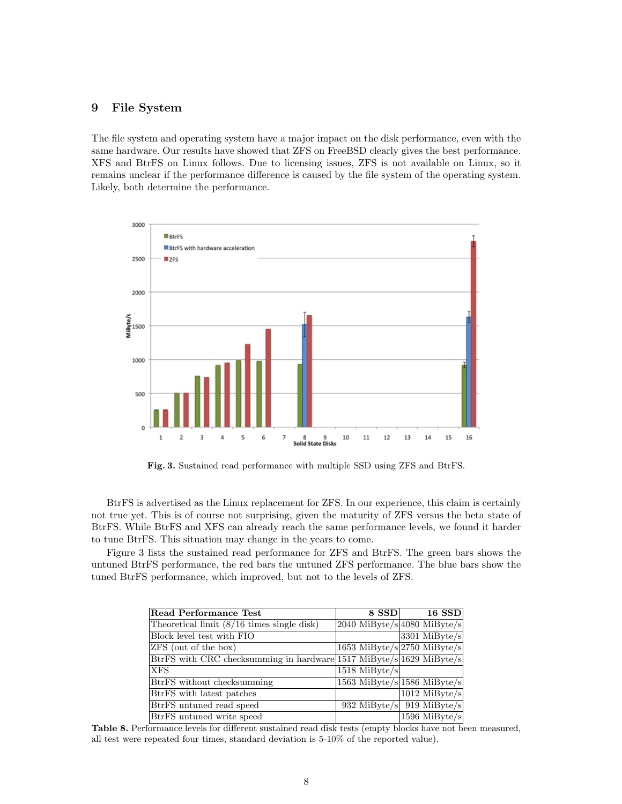## 9 File System

The file system and operating system have a major impact on the disk performance, even with the same hardware. Our results have showed that ZFS on FreeBSD clearly gives the best performance. XFS and BtrFS on Linux follows. Due to licensing issues, ZFS is not available on Linux, so it remains unclear if the performance difference is caused by the file system of the operating system. Likely, both determine the performance.



<span id="page-7-0"></span>Fig. 3. Sustained read performance with multiple SSD using ZFS and BtrFS.

BtrFS is advertised as the Linux replacement for ZFS. In our experience, this claim is certainly not true yet. This is of course not surprising, given the maturity of ZFS versus the beta state of BtrFS. While BtrFS and XFS can already reach the same performance levels, we found it harder to tune BtrFS. This situation may change in the years to come.

Figure [3](#page-7-0) lists the sustained read performance for ZFS and BtrFS. The green bars shows the untuned BtrFS performance, the red bars the untuned ZFS performance. The blue bars show the tuned BtrFS performance, which improved, but not to the levels of ZFS.

| Read Performance Test                                               | 8 SSD           | $16$ SSD                                     |
|---------------------------------------------------------------------|-----------------|----------------------------------------------|
| Theoretical limit $(8/16 \text{ times single disk})$                |                 | $2040$ MiByte/s 4080 MiByte/s                |
| Block level test with FIO                                           |                 | $3301$ MiByte/s                              |
| ZFS (out of the box)                                                |                 | 1653 MiByte/s $\sqrt{2750 \text{ MiByte/s}}$ |
| BtrFS with CRC checksumming in hardware 1517 MiByte/s 1629 MiByte/s |                 |                                              |
| <b>XFS</b>                                                          | $1518$ MiByte/s |                                              |
| BtrFS without checksumming                                          |                 | 1563 MiByte/s $1586$ MiByte/s                |
| BtrFS with latest patches                                           |                 | $1012$ MiByte/s                              |
| BtrFS untuned read speed                                            |                 | 932 MiByte/s 919 MiByte/s                    |
| BtrFS untuned write speed                                           |                 | $1596$ MiByte/s                              |

Table 8. Performance levels for different sustained read disk tests (empty blocks have not been measured, all test were repeated four times, standard deviation is 5-10% of the reported value).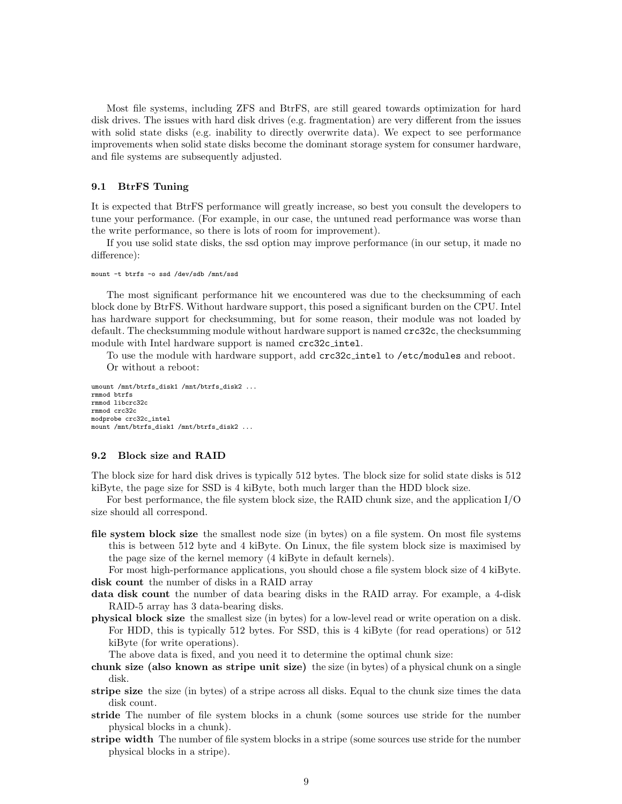Most file systems, including ZFS and BtrFS, are still geared towards optimization for hard disk drives. The issues with hard disk drives (e.g. fragmentation) are very different from the issues with solid state disks (e.g. inability to directly overwrite data). We expect to see performance improvements when solid state disks become the dominant storage system for consumer hardware, and file systems are subsequently adjusted.

#### 9.1 BtrFS Tuning

It is expected that BtrFS performance will greatly increase, so best you consult the developers to tune your performance. (For example, in our case, the untuned read performance was worse than the write performance, so there is lots of room for improvement).

If you use solid state disks, the ssd option may improve performance (in our setup, it made no difference):

```
mount -t btrfs -o ssd /dev/sdb /mnt/ssd
```
The most significant performance hit we encountered was due to the checksumming of each block done by BtrFS. Without hardware support, this posed a significant burden on the CPU. Intel has hardware support for checksumming, but for some reason, their module was not loaded by default. The checksumming module without hardware support is named crc32c, the checksumming module with Intel hardware support is named crc32c\_intel.

To use the module with hardware support, add crc32c intel to /etc/modules and reboot. Or without a reboot:

umount /mnt/btrfs\_disk1 /mnt/btrfs\_disk2 ... rmmod btrfs rmmod libcrc32c rmmod crc32c modprobe crc32c\_intel mount /mnt/btrfs\_disk1 /mnt/btrfs\_disk2 ...

### 9.2 Block size and RAID

The block size for hard disk drives is typically 512 bytes. The block size for solid state disks is 512 kiByte, the page size for SSD is 4 kiByte, both much larger than the HDD block size.

For best performance, the file system block size, the RAID chunk size, and the application I/O size should all correspond.

file system block size the smallest node size (in bytes) on a file system. On most file systems this is between 512 byte and 4 kiByte. On Linux, the file system block size is maximised by the page size of the kernel memory (4 kiByte in default kernels).

For most high-performance applications, you should chose a file system block size of 4 kiByte. disk count the number of disks in a RAID array

- data disk count the number of data bearing disks in the RAID array. For example, a 4-disk RAID-5 array has 3 data-bearing disks.
- physical block size the smallest size (in bytes) for a low-level read or write operation on a disk. For HDD, this is typically 512 bytes. For SSD, this is 4 kiByte (for read operations) or 512 kiByte (for write operations).

The above data is fixed, and you need it to determine the optimal chunk size:

- chunk size (also known as stripe unit size) the size (in bytes) of a physical chunk on a single disk.
- stripe size the size (in bytes) of a stripe across all disks. Equal to the chunk size times the data disk count.
- stride The number of file system blocks in a chunk (some sources use stride for the number physical blocks in a chunk).
- **stripe width** The number of file system blocks in a stripe (some sources use stride for the number physical blocks in a stripe).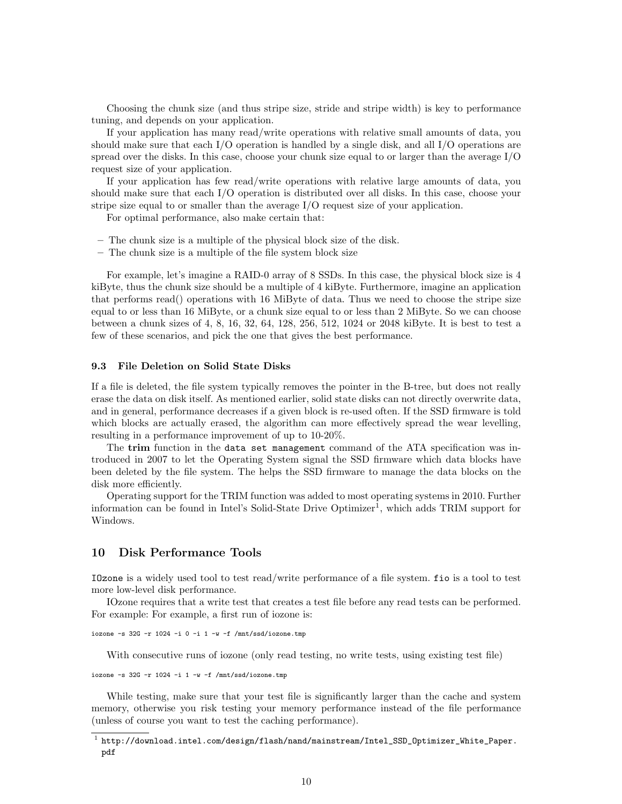Choosing the chunk size (and thus stripe size, stride and stripe width) is key to performance tuning, and depends on your application.

If your application has many read/write operations with relative small amounts of data, you should make sure that each I/O operation is handled by a single disk, and all I/O operations are spread over the disks. In this case, choose your chunk size equal to or larger than the average I/O request size of your application.

If your application has few read/write operations with relative large amounts of data, you should make sure that each I/O operation is distributed over all disks. In this case, choose your stripe size equal to or smaller than the average I/O request size of your application.

For optimal performance, also make certain that:

- The chunk size is a multiple of the physical block size of the disk.
- The chunk size is a multiple of the file system block size

For example, let's imagine a RAID-0 array of 8 SSDs. In this case, the physical block size is 4 kiByte, thus the chunk size should be a multiple of 4 kiByte. Furthermore, imagine an application that performs read() operations with 16 MiByte of data. Thus we need to choose the stripe size equal to or less than 16 MiByte, or a chunk size equal to or less than 2 MiByte. So we can choose between a chunk sizes of 4, 8, 16, 32, 64, 128, 256, 512, 1024 or 2048 kiByte. It is best to test a few of these scenarios, and pick the one that gives the best performance.

#### 9.3 File Deletion on Solid State Disks

If a file is deleted, the file system typically removes the pointer in the B-tree, but does not really erase the data on disk itself. As mentioned earlier, solid state disks can not directly overwrite data, and in general, performance decreases if a given block is re-used often. If the SSD firmware is told which blocks are actually erased, the algorithm can more effectively spread the wear levelling, resulting in a performance improvement of up to 10-20%.

The trim function in the data set management command of the ATA specification was introduced in 2007 to let the Operating System signal the SSD firmware which data blocks have been deleted by the file system. The helps the SSD firmware to manage the data blocks on the disk more efficiently.

Operating support for the TRIM function was added to most operating systems in 2010. Further information can be found in Intel's Solid-State Drive Optimizer<sup>[1](#page-9-0)</sup>, which adds TRIM support for Windows.

## 10 Disk Performance Tools

IOzone is a widely used tool to test read/write performance of a file system. fio is a tool to test more low-level disk performance.

IOzone requires that a write test that creates a test file before any read tests can be performed. For example: For example, a first run of iozone is:

iozone  $-s$  32G  $-r$  1024  $-i$  0  $-i$  1  $-w$   $-f$  /mnt/ssd/iozone.tmp

With consecutive runs of iozone (only read testing, no write tests, using existing test file)

iozone -s 32G -r 1024 -i 1 -w -f /mnt/ssd/iozone.tmp

While testing, make sure that your test file is significantly larger than the cache and system memory, otherwise you risk testing your memory performance instead of the file performance (unless of course you want to test the caching performance).

<span id="page-9-0"></span> $^{\rm 1}$  [http://download.intel.com/design/flash/nand/mainstream/Intel\\_SSD\\_Optimizer\\_White\\_Paper.](http://download.intel.com/design/flash/nand/mainstream/Intel_SSD_Optimizer_White_Paper.pdf) [pdf](http://download.intel.com/design/flash/nand/mainstream/Intel_SSD_Optimizer_White_Paper.pdf)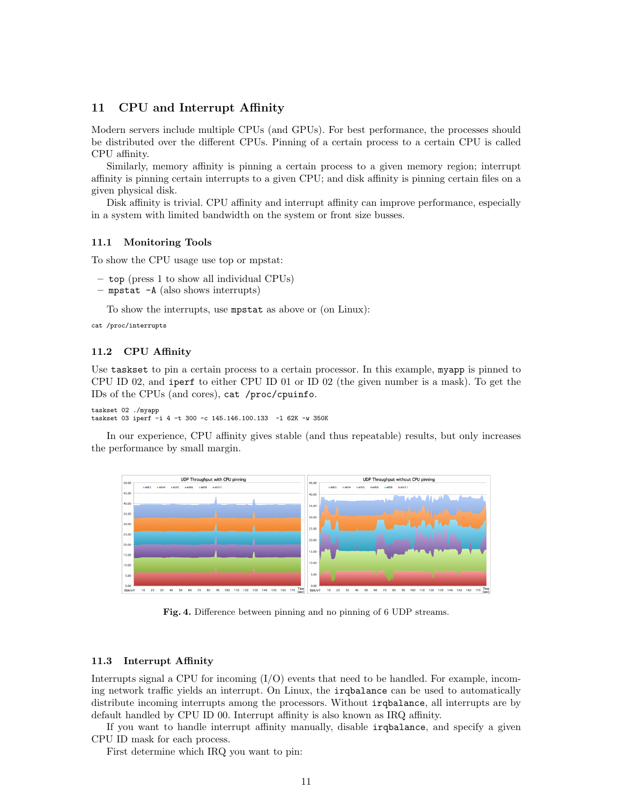## 11 CPU and Interrupt Affinity

Modern servers include multiple CPUs (and GPUs). For best performance, the processes should be distributed over the different CPUs. Pinning of a certain process to a certain CPU is called CPU affinity.

Similarly, memory affinity is pinning a certain process to a given memory region; interrupt affinity is pinning certain interrupts to a given CPU; and disk affinity is pinning certain files on a given physical disk.

Disk affinity is trivial. CPU affinity and interrupt affinity can improve performance, especially in a system with limited bandwidth on the system or front size busses.

#### 11.1 Monitoring Tools

To show the CPU usage use top or mpstat:

- top (press 1 to show all individual CPUs)
- mpstat -A (also shows interrupts)

To show the interrupts, use mpstat as above or (on Linux):

```
cat /proc/interrupts
```
### 11.2 CPU Affinity

Use taskset to pin a certain process to a certain processor. In this example, myapp is pinned to CPU ID 02, and iperf to either CPU ID 01 or ID 02 (the given number is a mask). To get the IDs of the CPUs (and cores), cat /proc/cpuinfo.

taskset 02 ./myapp taskset 03 iperf -i 4 -t 300 -c 145.146.100.133 -l 62K -w 350K

In our experience, CPU affinity gives stable (and thus repeatable) results, but only increases the performance by small margin.



Fig. 4. Difference between pinning and no pinning of 6 UDP streams.

#### 11.3 Interrupt Affinity

Interrupts signal a CPU for incoming  $(I/O)$  events that need to be handled. For example, incoming network traffic yields an interrupt. On Linux, the irqbalance can be used to automatically distribute incoming interrupts among the processors. Without irqbalance, all interrupts are by default handled by CPU ID 00. Interrupt affinity is also known as IRQ affinity.

If you want to handle interrupt affinity manually, disable irqbalance, and specify a given CPU ID mask for each process.

First determine which IRQ you want to pin: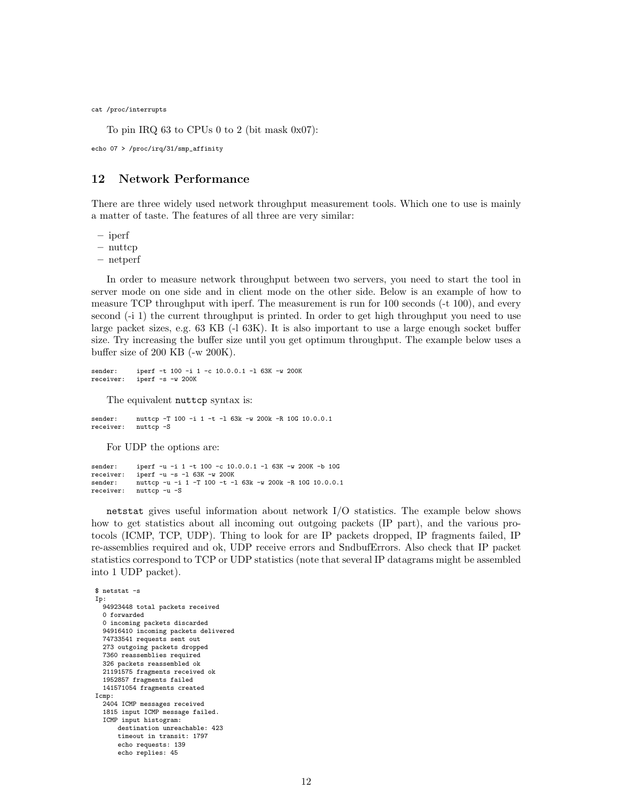cat /proc/interrupts

To pin IRQ 63 to CPUs 0 to 2 (bit mask 0x07):

echo 07 > /proc/irq/31/smp\_affinity

## 12 Network Performance

There are three widely used network throughput measurement tools. Which one to use is mainly a matter of taste. The features of all three are very similar:

– iperf

 $-$  nuttcp

– netperf

In order to measure network throughput between two servers, you need to start the tool in server mode on one side and in client mode on the other side. Below is an example of how to measure TCP throughput with iperf. The measurement is run for 100 seconds (-t 100), and every second (-i 1) the current throughput is printed. In order to get high throughput you need to use large packet sizes, e.g. 63 KB (-l 63K). It is also important to use a large enough socket buffer size. Try increasing the buffer size until you get optimum throughput. The example below uses a buffer size of 200 KB (-w 200K).

```
sender: iperf -t 100 -i 1 -c 10.0.0.1 -1 63K -w 200K<br>receiver: iperf -s -w 200K
                iperf -s - w 200K
```
The equivalent nuttcp syntax is:

sender: nuttcp -T 100 -i 1 -t -l 63k -w 200k -R 10G 10.0.0.1 receiver: nuttcp -S

For UDP the options are:

```
sender: iperf -u -i 1 -t 100 -c 10.0.0.1 -1 63K -w 200K -b 10G<br>receiver: iperf -u -s -l 63K -w 200K
               iperf -u -s -1 63K -w 200Ksender: nuttcp -u -i 1 -T 100 -t -1 63k -w 200k -R 10G 10.0.0.1<br>receiver: nuttcp -u -S
               nuttcp -u -S
```
netstat gives useful information about network I/O statistics. The example below shows how to get statistics about all incoming out outgoing packets (IP part), and the various protocols (ICMP, TCP, UDP). Thing to look for are IP packets dropped, IP fragments failed, IP re-assemblies required and ok, UDP receive errors and SndbufErrors. Also check that IP packet statistics correspond to TCP or UDP statistics (note that several IP datagrams might be assembled into 1 UDP packet).

\$ netstat -s Ip: 94923448 total packets received 0 forwarded 0 incoming packets discarded 94916410 incoming packets delivered 74733541 requests sent out 273 outgoing packets dropped 7360 reassemblies required 326 packets reassembled ok 21191575 fragments received ok 1952857 fragments failed 141571054 fragments created Icmp: 2404 ICMP messages received 1815 input ICMP message failed. ICMP input histogram: destination unreachable: 423 timeout in transit: 1797 echo requests: 139 echo replies: 45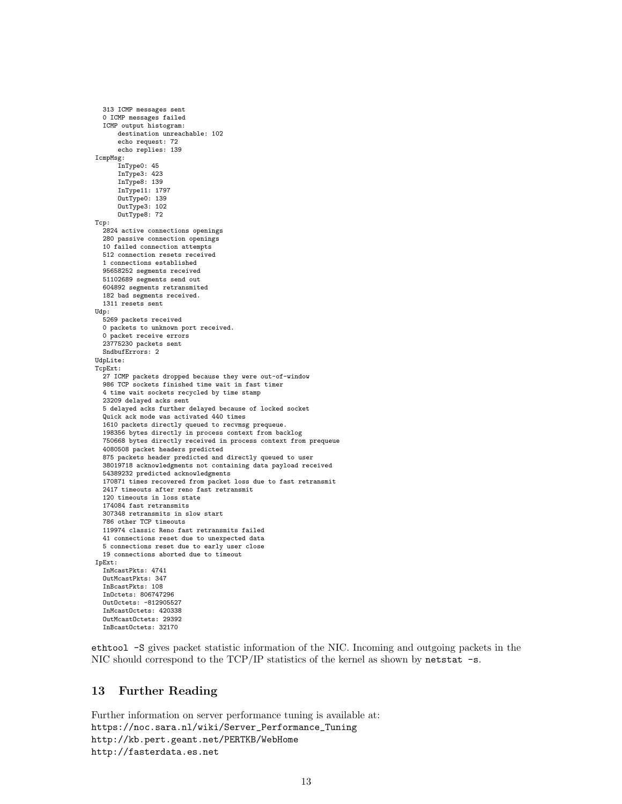```
313 ICMP messages sent
  0 ICMP messages failed
  ICMP output histogram:
      destination unreachable: 102
      echo request: 72
      echo replies: 139
IcmpMsg:
      InType0: 45
      InType3: 423
      InType8: 139
      InType11: 1797
      OutType0: 139
      OutType3: 102
     OutType8: 72
Tcp:
  2824 active connections openings
  280 passive connection openings
  10 failed connection attempts
  512 connection resets received
  1 connections established
  95658252 segments received
  51102689 segments send out
  604892 segments retransmited
  182 bad segments received.
 1311 resets sent
Udp:
 5269 packets received
  0 packets to unknown port received.
  0 packet receive errors
  23775230 packets sent
  SndbufErrors: 2
UdpLite:
TcpExt:
  27 ICMP packets dropped because they were out-of-window
  986 TCP sockets finished time wait in fast timer
  4 time wait sockets recycled by time stamp
  23209 delayed acks sent
  5 delayed acks further delayed because of locked socket
  Quick ack mode was activated 440 times
  1610 packets directly queued to recvmsg prequeue.
  198356 bytes directly in process context from backlog
  750668 bytes directly received in process context from prequeue
  4080508 packet headers predicted
  875 packets header predicted and directly queued to user
  38019718 acknowledgments not containing data payload received
  54389232 predicted acknowledgments
  170871 times recovered from packet loss due to fast retransmit
  2417 timeouts after reno fast retransmit
  120 timeouts in loss state
  174084 fast retransmits
  307348 retransmits in slow start
  786 other TCP timeouts
  119974 classic Reno fast retransmits failed
  41 connections reset due to unexpected data
  5 connections reset due to early user close
  19 connections aborted due to timeout
IpExt:
  InMcastPkts: 4741
  OutMcastPkts: 347
  InBcastPkts: 108
  InOctets: 806747296
  OutOctets: -812905527
  InMcastOctets: 420338
  OutMcastOctets: 29392
```
ethtool -S gives packet statistic information of the NIC. Incoming and outgoing packets in the NIC should correspond to the TCP/IP statistics of the kernel as shown by netstat  $-s$ .

## <span id="page-12-0"></span>13 Further Reading

InBcastOctets: 32170

Further information on server performance tuning is available at: [https://noc.sara.nl/wiki/Server\\_Performance\\_Tuning](https://noc.sara.nl/wiki/Server_Performance_Tuning) <http://kb.pert.geant.net/PERTKB/WebHome> <http://fasterdata.es.net>